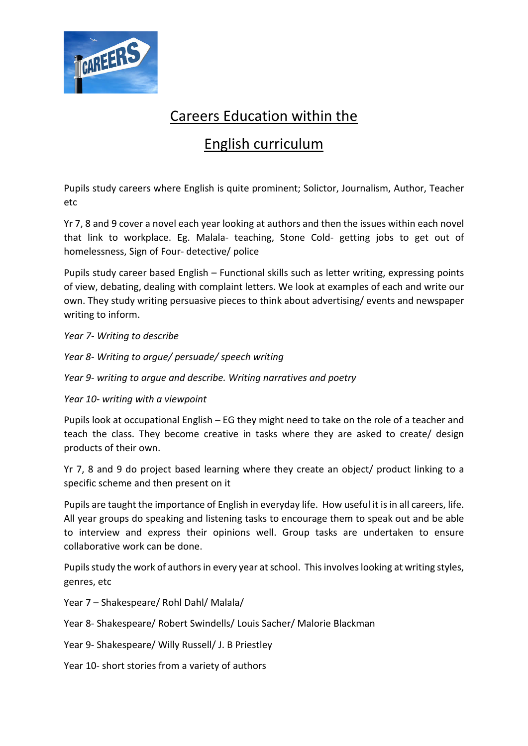

## Careers Education within the

## English curriculum

Pupils study careers where English is quite prominent; Solictor, Journalism, Author, Teacher etc

Yr 7, 8 and 9 cover a novel each year looking at authors and then the issues within each novel that link to workplace. Eg. Malala- teaching, Stone Cold- getting jobs to get out of homelessness, Sign of Four- detective/ police

Pupils study career based English – Functional skills such as letter writing, expressing points of view, debating, dealing with complaint letters. We look at examples of each and write our own. They study writing persuasive pieces to think about advertising/ events and newspaper writing to inform.

*Year 7- Writing to describe*

*Year 8- Writing to argue/ persuade/ speech writing*

*Year 9- writing to argue and describe. Writing narratives and poetry*

*Year 10- writing with a viewpoint*

Pupils look at occupational English – EG they might need to take on the role of a teacher and teach the class. They become creative in tasks where they are asked to create/ design products of their own.

Yr 7, 8 and 9 do project based learning where they create an object/ product linking to a specific scheme and then present on it

Pupils are taught the importance of English in everyday life. How useful it is in all careers, life. All year groups do speaking and listening tasks to encourage them to speak out and be able to interview and express their opinions well. Group tasks are undertaken to ensure collaborative work can be done.

Pupils study the work of authors in every year at school. This involves looking at writing styles, genres, etc

Year 7 – Shakespeare/ Rohl Dahl/ Malala/

Year 8- Shakespeare/ Robert Swindells/ Louis Sacher/ Malorie Blackman

Year 9- Shakespeare/ Willy Russell/ J. B Priestley

Year 10- short stories from a variety of authors